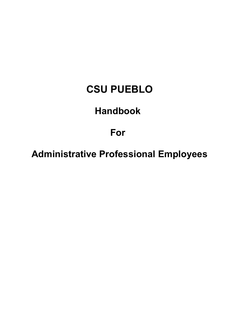# **CSU PUEBLO**

# **Handbook**

# **For**

**Administrative Professional Employees**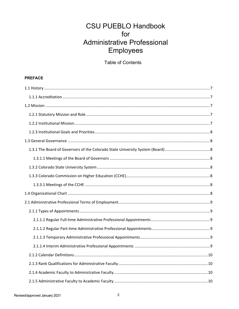## **CSU PUEBLO Handbook** for **Administrative Professional** Employees

**Table of Contents** 

### **PREFACE**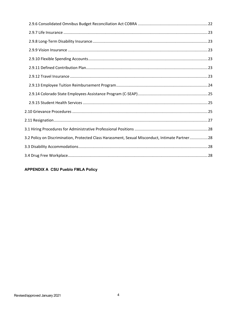| 3.2 Policy on Discrimination, Protected Class Harassment, Sexual Misconduct, Intimate Partner28 |  |
|-------------------------------------------------------------------------------------------------|--|
|                                                                                                 |  |
|                                                                                                 |  |

**APPENDIX A CSU Pueblo FMLA Policy**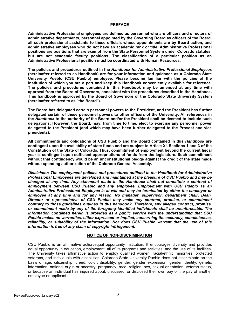#### **PREFACE**

**Administrative Professional employees are defined as personnel who are officers and directors of administrative departments, personnel appointed by the Governing Board as officers of the Board, all such professional assistants to these officials whose appointments are by Board action, and administrative employees who do not have an academic rank or title. Administrative Professional positions are positions that are exempt from the State Personnel System under Colorado statutes, but are not academic faculty positions. The classification of a particular position as an Administrative Professional position must be coordinated with Human Resources.**

**The policies and procedures outlined in the** *Handbook for Administrative Professional Employees*  **(hereinafter referred to as Handbook) are for your information and guidance as a Colorado State University Pueblo (CSU Pueblo) employee. Please become familiar with the policies of the institution of which you are a part and keep this Handbook conveniently available for reference. The policies and procedures contained in this Handbook may be amended at any time with approval from the Board of Governors, consistent with the procedures described in the Handbook. This handbook is approved by the Board of Governors of the Colorado State University System (hereinafter referred to as "the Board").**

**The Board has delegated certain personnel powers to the President, and the President has further delegated certain of these personnel powers to other officers of the University. All references in the** *Handbook* **to the authority of the Board and/or the President shall be deemed to include such delegations. However, the Board, may, from time to time, elect to exercise any personnel power delegated to the President (and which may have been further delegated to the Provost and vice presidents).**

**All commitments and obligations of CSU Pueblo and the Board contained in this** *Handbook* **are**  contingent upon the availability of state funds and are subject to Article XI, Sections 1 and 3 of the **Constitution of the State of Colorado. Thus, commitment of employment beyond the current fiscal year is contingent upon sufficient appropriations of funds from the legislature. Such commitment without that contingency would be an unconstitutional pledge against the credit of the state made without spending authorization of the Colorado General Assembly.**

*Disclaimer: The employment policies and procedures outlined in the Handbook for Administrative Professional Employees are developed and maintained at the pleasure of CSU Pueblo and may be changed at any time. Any statement made in the Handbook shall not constitute a contract of employment between CSU Pueblo and any employee. Employment with CSU Pueblo as an Administrative Professional Employee is at will and may be terminated by either the employer or employee at any time and for any reason. No manager, supervisor, department chair, Dean, Director or representative of CSU Pueblo may make any contract, promise, or commitment contrary to those guidelines outlined in this handbook. Therefore, any alleged contract, promise, or commitment made by any of the foregoing identified individuals shall be unenforceable. The information contained herein is provided as a public service with the understanding that CSU Pueblo makes no warranties, either expressed or implied, concerning the accuracy, completeness, reliability, or suitability of the information. Nor does CSU Pueblo warrant that the use of this information is free of any claim of copyright infringement.*

#### **NOTICE OF NON-DISCRIMINATION**

CSU Pueblo is an affirmative action/equal opportunity institution. It encourages diversity and provides equal opportunity in education, employment, all of its programs and activities, and the use of its facilities. The University takes affirmative action to employ qualified women, racial/ethnic minorities, protected veterans, and individuals with disabilities. Colorado State University Pueblo does not discriminate on the basis of age, citizenship, creed, color, disability, gender, gender expression, gender identity, genetic information, national origin or ancestry, pregnancy, race, religion, sex, sexual orientation, veteran status, or because an individual has inquired about, discussed, or disclosed their own pay or the pay of another employee or applicant.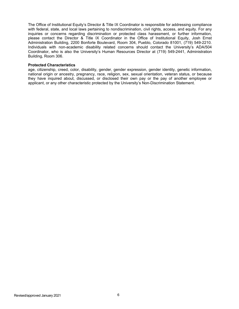The Office of Institutional Equity's Director & Title IX Coordinator is responsible for addressing compliance with federal, state, and local laws pertaining to nondiscrimination, civil rights, access, and equity. For any inquiries or concerns regarding discrimination or protected class harassment, or further information, please contact the Director & Title IX Coordinator in the Office of Institutional Equity, Josh Ernst Administration Building, 2200 Bonforte Boulevard, Room 304, Pueblo, Colorado 81001, (719) 549-2210. Individuals with non-academic disability related concerns should contact the University's ADA/504 Coordinator, who is also the University's Human Resources Director at (719) 549-2441, Administration Building, Room 306.

#### **Protected Characteristics**

age, citizenship, creed, color, disability, gender, gender expression, gender identity, genetic information, national origin or ancestry, pregnancy, race, religion, sex, sexual orientation, veteran status, or because they have inquired about, discussed, or disclosed their own pay or the pay of another employee or applicant, or any other characteristic protected by the University's Non-Discrimination Statement.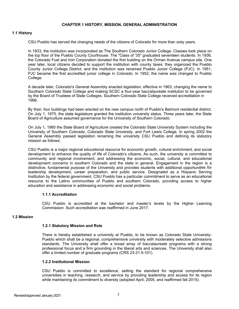#### **CHAPTER 1 HISTORY, MISSION, GENERAL ADMINISTRATION**

#### <span id="page-6-0"></span>**1.1 History**

CSU Pueblo has served the changing needs of the citizens of Colorado for more than sixty years.

In 1933, the institution was incorporated as The Southern Colorado Junior College. Classes took place on the top floor of the Pueblo County Courthouse. The "Class of '35" graduated seventeen students. In 1936, the Colorado Fuel and Iron Corporation donated the first building on the Orman Avenue campus site. One year later, local citizens decided to support the institution with county taxes; they organized the Pueblo County Junior College District, and the institution was renamed Pueblo Junior College (PJC). In 1951, PJC became the first accredited junior college in Colorado. In 1952, the name was changed to Pueblo College.

A decade later, Colorado's General Assembly enacted legislation, effective in 1963, changing the name to Southern Colorado State College and making SCSC a four-year baccalaureate institution to be governed by the Board of Trustees of State Colleges. Southern Colorado State College received accreditation in 1966.

By then, four buildings had been erected on the new campus north of Pueblo's Belmont residential district. On July 1, 1975, the state legislature granted the institution university status. Three years later, the State Board of Agriculture assumed governance for the University of Southern Colorado.

On July 1, 1985 the State Board of Agriculture created the Colorado State University System including the University of Southern Colorado, Colorado State University, and Fort Lewis College. In spring 2002 the General Assembly passed legislation renaming the university CSU Pueblo and defining its statutory mission as follows:

CSU Pueblo is a major regional educational resource for economic growth, cultural enrichment, and social development to enhance the quality of life of Colorado's citizens. As such, the university is committed to community and regional involvement, and addressing the economic, social, cultural, and educational development concerns in southern Colorado and the state in general. Engagement in the region is a distinctive, fundamental purpose of the University and provides students with additional opportunities for leadership development, career preparation, and public service. Designated as a Hispanic Serving Institution by the federal government, CSU Pueblo has a particular commitment to serve as an educational resource to the Latino communities of Pueblo and southern Colorado, providing access to higher education and assistance in addressing economic and social problems.

#### **1.1.1 Accreditation**

CSU Pueblo is accredited at the bachelor and master's levels by the Higher Learning Commission. Such accreditation was reaffirmed in June 2017.

#### <span id="page-6-3"></span><span id="page-6-2"></span><span id="page-6-1"></span>**1.2 Mission**

#### **1.2.1 Statutory Mission and Role**

There is hereby established a university at Pueblo, to be known as Colorado State University-Pueblo which shall be a regional, comprehensive university with moderately selective admissions standards. The University shall offer a broad array of baccalaureate programs with a strong professional focus and a firm grounding in the liberal arts and sciences. The University shall also offer a limited number of graduate programs (CRS 23-31.5-101).

#### <span id="page-6-4"></span>**1.2.2 Institutional Mission**

CSU Pueblo is committed to excellence, setting the standard for regional comprehensive universities in teaching, research, and service by providing leadership and access for its region while maintaining its commitment to diversity (adopted April, 2005, and reaffirmed fall 2015).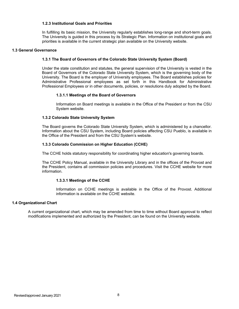#### **1.2.3 Institutional Goals and Priorities**

In fulfilling its basic mission, the University regularly establishes long-range and short-term goals. The University is guided in this process by its Strategic Plan. Information on institutional goals and priorities is available in the current strategic plan available on the University website.

#### <span id="page-7-2"></span><span id="page-7-1"></span><span id="page-7-0"></span>**1.3 General Governance**

#### **1.3.1 The Board of Governors of the Colorado State University System (Board)**

Under the state constitution and statutes, the general supervision of the University is vested in the Board of Governors of the Colorado State University System, which is the governing body of the University. The Board is the employer of University employees. The Board establishes policies for Administrative Professional employees as set forth in this Handbook for Administrative Professional Employees or in other documents, policies, or resolutions duly adopted by the Board.

#### **1.3.1.1 Meetings of the Board of Governors**

Information on Board meetings is available in the Office of the President or from the CSU System website.

#### <span id="page-7-4"></span><span id="page-7-3"></span>**1.3.2 Colorado State University System**

The Board governs the Colorado State University System, which is administered by a chancellor. Information about the CSU System, including Board policies affecting CSU Pueblo, is available in the Office of the President and from the CSU System's website.

#### <span id="page-7-5"></span>**1.3.3 Colorado Commission on Higher Education (CCHE)**

The CCHE holds statutory responsibility for coordinating higher education's governing boards.

The CCHE Policy Manual, available in the University Library and in the offices of the Provost and the President, contains all commission policies and procedures. Visit the CCHE website for more information.

#### **1.3.3.1 Meetings of the CCHE**

Information on CCHE meetings is available in the Office of the Provost. Additional information is available on the CCHE website.

#### <span id="page-7-7"></span><span id="page-7-6"></span>**1.4 Organizational Chart**

A current organizational chart, which may be amended from time to time without Board approval to reflect modifications implemented and authorized by the President, can be found on the University website.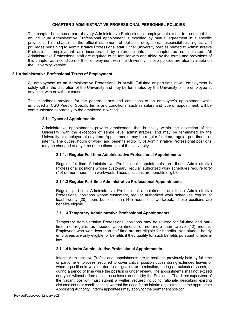#### **CHAPTER 2 ADMINISTRATIVE PROFESSIONAL PERSONNEL POLICIES**

This chapter becomes a part of every Administrative Professional's employment except to the extent that an individual Administrative Professional appointment is modified by mutual agreement in a specific provision. This chapter is the official statement of policies, obligations, responsibilities, rights, and privileges pertaining to Administrative Professional staff. Other University policies related to Administrative Professional employment are incorporated by reference into this chapter as so indicated. All Administrative Professional staff are required to be familiar with and abide by the terms and provisions of this chapter as a condition of their employment with the University. These policies are also available on the University website.

#### <span id="page-8-0"></span>**2.1 Administrative Professional Terms of Employment**

All employment as an Administrative Professional is at-will. Full-time or part-time at-will employment is solely within the discretion of the University and may be terminated by the University or the employee at any time, with or without cause.

<span id="page-8-1"></span>This Handbook provides for the general terms and conditions of an employee's appointment while employed at CSU Pueblo. Specific terms and conditions, such as salary and type of appointment, will be communicated separately to the employee in writing.

#### **2.1.1 Types of Appointments**

<span id="page-8-2"></span>Administrative appointments provide employment that is solely within the discretion of the University, with the exception of senior level administrators, and may be terminated by the University or employee at any time. Appointments may be regular full-time, regular part-time, , or interim. The duties, hours of work, and benefits eligibility of Administrative Professional positions may be changed at any time at the discretion of the University.

#### **2.1.1.1 Regular Full-time Administrative Professional Appointments**

Regular full-time Administrative Professional appointments are those Administrative Professional positions whose customary, regular authorized work schedules require forty (40) or more hours in a workweek. These positions are benefits eligible.

#### <span id="page-8-3"></span>**2.1.1.2 Regular Part-time Administrative Professional Appointments**

Regular part-time Administrative Professional appointments are those Administrative Professional positions whose customary, regular authorized work schedules require at least twenty (20) hours but less than (40) hours in a workweek. These positions are benefits eligible.

#### <span id="page-8-4"></span>**2.1.1.3 Temporary Administrative Professional Appointments**

Temporary Administrative Professional positions may be utilized for full-time and parttime, non-regular, as needed appointments of not more than twelve (12) months. Employees who work less than half time are not eligible for benefits. Non-student hourly employees are only eligible for benefits if they qualify for such benefits pursuant to federal law.

#### <span id="page-8-5"></span>**2.1.1.4 Interim Administrative Professional Appointments**

Interim Administrative Professional appointments are to positions previously held by full-time or part-time employees, required to cover critical position duties during extended leaves or when a position is vacated due to resignation or termination, during an extended search, or during a period of time while the position is under review. The appointments shall not exceed one year without a formal search unless extended by the President. The direct supervisor of the vacant position must submit a written request including rationale describing existing circumstances or conditions that warrant the need for an interim appointment to the appropriate Appointing Authority. Interim appointees may apply for the permanent position.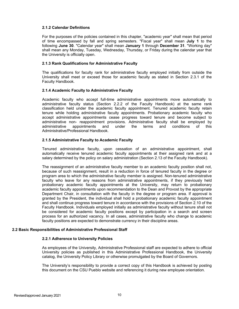#### <span id="page-9-0"></span>**2.1.2 Calendar Definitions**

For the purposes of the policies contained in this chapter, "academic year" shall mean that period of time encompassed by fall and spring semesters. "Fiscal year" shall mean **July 1** to the following **June 30**. "Calendar year" shall mean **January 1** through **December 31**. "Working day" shall mean any Monday, Tuesday, Wednesday, Thursday, or Friday during the calendar year that the University is officially open.

#### <span id="page-9-1"></span>**2.1.3 Rank Qualifications for Administrative Faculty**

The qualifications for faculty rank for administrative faculty employed initially from outside the University shall meet or exceed those for academic faculty as stated in Section 2.3.1 of the Faculty Handbook.

#### <span id="page-9-2"></span>**2.1.4 Academic Faculty to Administrative Faculty**

Academic faculty who accept full-time administrative appointments move automatically to administrative faculty status (Section 2.2.2 of the Faculty Handbook) at the same rank classification held under the academic faculty appointment. Tenured academic faculty retain tenure while holding administrative faculty appointments. Probationary academic faculty who accept administrative appointments cease progress toward tenure and become subject to administrative non- reappointment provisions. Administrative faculty shall be employed by appointments and under the terms and conditions of this Administrative/Professional Handbook.

#### <span id="page-9-3"></span>**2.1.5 Administrative Faculty to Academic Faculty**

Tenured administrative faculty, upon cessation of an administrative appointment, shall automatically receive tenured academic faculty appointments at their assigned rank and at a salary determined by the policy on salary administration (Section 2.13 of the Faculty Handbook).

The reassignment of an administrative faculty member to an academic faculty position shall not, because of such reassignment, result in a reduction in force of tenured faculty in the degree or program area to which the administrative faculty member is assigned. Non-tenured administrative faculty who leave for any reasons from administrative appointments, if they previously held probationary academic faculty appointments at the University, may return to probationary academic faculty appointments upon recommendation to the Dean and Provost by the appropriate Department Chair, in consultation with the faculty in the degree or program area. If approval is granted by the President, the individual shall hold a probationary academic faculty appointment and shall continue progress toward tenure in accordance with the provisions of Section 2.10 of the Faculty Handbook. Individuals employed initially as administrative faculty without tenure shall not be considered for academic faculty positions except by participation in a search and screen process for an authorized vacancy. In all cases, administrative faculty who change to academic faculty positions are expected to demonstrate currency in their discipline areas.

#### <span id="page-9-5"></span><span id="page-9-4"></span>**2.2 Basic Responsibilities of Administrative Professional Staff**

#### **2.2.1 Adherence to University Policies**

As employees of the University, Administrative Professional staff are expected to adhere to official University policies as published in this Administrative Professional Handbook, the University catalog, the University Policy Library or otherwise promulgated by the Board of Governors.

The University's responsibility to provide a correct copy of this Handbook is achieved by posting this document on the CSU Pueblo website and referencing it during new employee orientation.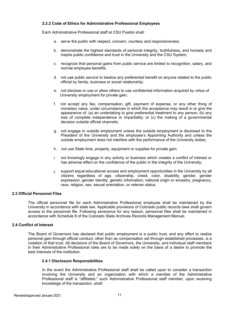#### <span id="page-10-0"></span>**2.2.2 Code of Ethics for Administrative Professional Employees**

Each Administrative Professional staff at CSU Pueblo shall:

- a. serve the public with respect, concern, courtesy and responsiveness;
- b. demonstrate the highest standards of personal integrity, truthfulness, and honesty and inspire public confidence and trust in the University and the CSU System;
- c. recognize that personal gains from public service are limited to recognition, salary, and normal employee benefits;
- d. not use public service to bestow any preferential benefit on anyone related to the public official by family, business or social relationship;
- e. not disclose or use or allow others to use confidential information acquired by virtue of University employment for private gain;
- f. not accept any fee, compensation, gift, payment of expense, or any other thing of monetary value, under circumstances in which the acceptance may result in or give the appearance of: (a) an undertaking to give preferential treatment to any person; (b) any loss of complete independence or impartiality; or (c) the making of a governmental decision outside official channels;
- g. not engage in outside employment unless the outside employment is disclosed to the President of the University and the employee's Appointing Authority and unless the outside employment does not interfere with the performance of the University duties;
- h. not use State time, property, equipment or supplies for private gain;
- i. not knowingly engage in any activity or business which creates a conflict of interest or has adverse effect on the confidence of the public in the integrity of the University;
- j. support equal educational access and employment opportunities in the University by all citizens regardless of age, citizenship, creed, color, disability, gender, gender expression, gender identity, genetic information, national origin or ancestry, pregnancy, race, religion, sex, sexual orientation, or veteran status.

#### <span id="page-10-1"></span>**2.3 Official Personnel Files**

The official personnel file for each Administrative Professional employee shall be maintained by the University in accordance with state law. Applicable provisions of Colorado public records laws shall govern access to the personnel file. Following severance for any reason, personnel files shall be maintained in accordance with Schedule 8 of the Colorado State Archives Records Management Manual.

#### <span id="page-10-2"></span>**2.4 Conflict of Interest**

The Board of Governors has declared that public employment is a public trust, and any effort to realize personal gain through official conduct, other than as compensation set through established processes, is a violation of that trust. All decisions of the Board of Governors, the University, and individual staff members in their Administrative Professional roles are to be made solely on the basis of a desire to promote the best interests of the institution.

#### <span id="page-10-3"></span>**2.4.1 Disclosure Responsibilities**

In the event the Administrative Professional staff shall be called upon to consider a transaction involving the University and an organization with which a member of the Administrative Professional staff is "affiliated," such Administrative Professional staff member, upon receiving knowledge of the transaction, shall: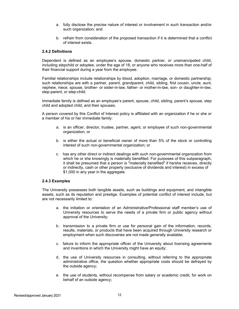- a. fully disclose the precise nature of interest or involvement in such transaction and/or such organization; and
- b. refrain from consideration of the proposed transaction if it is determined that a conflict of interest exists.

#### <span id="page-11-0"></span>**2.4.2 Definitions**

Dependent is defined as an employee's spouse, domestic partner, or unemancipated child, including stepchild or adoptee, under the age of 18, or anyone who receives more than one-half of their financial support during a year from the employee.

Familial relationships include relationships by blood, adoption, marriage, or domestic partnership; such relationships are with a partner, parent, grandparent, child, sibling, first cousin, uncle, aunt, nephew, niece, spouse, brother- or sister-in-law, father- or mother-in-law, son- or daughter-in-law, step-parent, or step-child.

Immediate family is defined as an employee's parent, spouse, child, sibling, parent's spouse, step child and adopted child, and their spouses.

A person covered by this Conflict of Interest policy is affiliated with an organization if he or she or a member of his or her immediate family:

- a. is an officer, director, trustee, partner, agent, or employee of such non-governmental organization; or
- b. is either the actual or beneficial owner of more than 5% of the stock or controlling interest of such non-governmental organization; or
- c. has any other direct or indirect dealings with such non-governmental organization from which he or she knowingly is materially benefited. For purposes of this subparagraph, it shall be presumed that a person is "materially benefited" if he/she receives, directly or indirectly, cash or other property (exclusive of dividends and interest) in excess of \$1,000 in any year in the aggregate.

#### <span id="page-11-1"></span>**2.4.3 Examples**

The University possesses both tangible assets, such as buildings and equipment, and intangible assets, such as its reputation and prestige. Examples of potential conflict of interest include, but are not necessarily limited to:

- a. the initiation or orientation of an Administrative/Professional staff member's use of University resources to serve the needs of a private firm or public agency without approval of the University;
- b. transmission to a private firm or use for personal gain of the information, records, results, materials, or products that have been acquired through University research or employment when such discoveries are not made generally available;
- c. failure to inform the appropriate officer of the University about licensing agreements and inventions in which the University might have an equity;
- d. the use of University resources in consulting, without referring to the appropriate administrative office, the question whether appropriate costs should be defrayed by the outside agency;
- e. the use of students, without recompense from salary or academic credit, for work on behalf of an outside agency;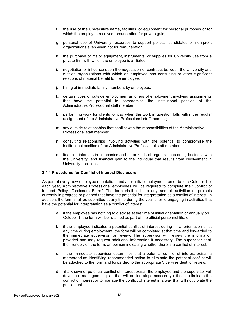- f. the use of the University's name, facilities, or equipment for personal purposes or for which the employee receives remuneration for private gain;
- g. personal use of University resources to support political candidates or non-profit organizations even when not for remuneration;
- h. the purchase of major equipment, instruments, or supplies for University use from a private firm with which the employee is affiliated;
- i. negotiation or influence upon the negotiation of contracts between the University and outside organizations with which an employee has consulting or other significant relations of material benefit to the employee;
- j. hiring of immediate family members by employees;
- k. certain types of outside employment as offers of employment involving assignments that have the potential to compromise the institutional position of the Administrative/Professional staff member;
- l. performing work for clients for pay when the work in question falls within the regular assignment of the Administrative Professional staff member;
- m. any outside relationships that conflict with the responsibilities of the Administrative Professional staff member;
- n. consulting relationships involving activities with the potential to compromise the institutional position of the Administrative/Professional staff member;
- o. financial interests in companies and other kinds of organizations doing business with the University; and financial gain to the individual that results from involvement in University decisions.

#### <span id="page-12-0"></span>**2.4.4 Procedures for Conflict of Interest Disclosure**

As part of every new employee orientation, and after initial employment, on or before October 1 of each year, Administrative Professional employees will be required to complete the "Conflict of Interest Policy—Disclosure Form." The form shall indicate any and all activities or projects currently in progress or planned that have the potential for interpretation as a conflict of interest. In addition, the form shall be submitted at any time during the year prior to engaging in activities that have the potential for interpretation as a conflict of interest:

- a. if the employee has nothing to disclose at the time of initial orientation or annually on October 1, the form will be retained as part of the official personnel file; or
- b. if the employee indicates a potential conflict of interest during initial orientation or at any time during employment, the form will be completed at that time and forwarded to the immediate supervisor for review. The supervisor will review the information provided and may request additional information if necessary. The supervisor shall then render, on the form, an opinion indicating whether there is a conflict of interest;
- c. if the immediate supervisor determines that a potential conflict of interest exists, a memorandum identifying recommended action to eliminate the potential conflict will be attached to the form and forwarded to the appropriate Vice President for review;
- d. if a known or potential conflict of interest exists, the employee and the supervisor will develop a management plan that will outline steps necessary either to eliminate the conflict of interest or to manage the conflict of interest in a way that will not violate the public trust.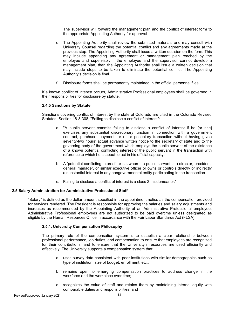The supervisor will forward the management plan and the conflict of interest form to the appropriate Appointing Authority for approval.

- e. The Appointing Authority shall review the submitted materials and may consult with University Counsel regarding the potential conflict and any agreements made at the previous step. The Appointing Authority shall issue a written decision on the form. This may include appending any agreement or management plan reached by the employee and supervisor. If the employee and the supervisor cannot develop a management plan, then the Appointing Authority shall issue a written decision that may include steps to be taken to eliminate the potential conflict. The Appointing Authority's decision is final.
- f. Disclosure forms shall be permanently maintained in the official personnel files.

If a known conflict of interest occurs, Administrative Professional employees shall be governed in their responsibilities for disclosure by statute.

#### <span id="page-13-0"></span>**2.4.5 Sanctions by Statute**

Sanctions covering conflict of interest by the state of Colorado are cited in the Colorado Revised Statutes, Section 18-8-308, "Failing to disclose a conflict of interest":

- a. "A public servant commits failing to disclose a conflict of interest if he [or she] exercises any substantial discretionary function in connection with a government contract, purchase, payment, or other pecuniary transaction without having given seventy-two hours' actual advance written notice to the secretary of state and to the governing body of the government which employs the public servant of the existence of a known potential conflicting interest of the public servant in the transaction with reference to which he is about to act in his official capacity.
- b. A 'potential conflicting interest' exists when the public servant is a director, president, general manager, or similar executive officer or owns or controls directly or indirectly a substantial interest in any nongovernmental entity participating in the transaction.
- c. Failing to disclose a conflict of interest is a class 2 misdemeanor."

#### <span id="page-13-1"></span>**2.5 Salary Administration for Administrative Professional Staff**

"Salary" is defined as the dollar amount specified in the appointment notice as the compensation provided for services rendered. The President is responsible for approving the salaries and salary adjustments and increases as recommended by the Appointing Authority of an Administrative Professional employee. Administrative Professional employees are not authorized to be paid overtime unless designated as eligible by the Human Resources Office in accordance with the Fair Labor Standards Act (FLSA).

#### <span id="page-13-2"></span>**2.5.1. University Compensation Philosophy**

The primary role of the compensation system is to establish a clear relationship between professional performance, job duties, and compensation to ensure that employees are recognized for their contributions, and to ensure that the University's resources are used efficiently and effectively. The University supports a compensation system that:

- a. uses survey data consistent with peer institutions with similar demographics such as type of institution, size of budget, enrollment, etc.;
- b. remains open to emerging compensation practices to address change in the workforce and the workplace over time;
- c. recognizes the value of staff and retains them by maintaining internal equity with comparable duties and responsibilities; and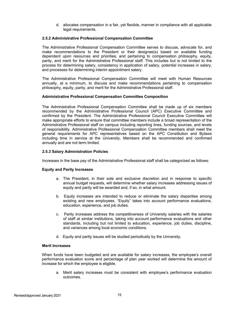d. allocates compensation in a fair, yet flexible, manner in compliance with all applicable legal requirements.

#### <span id="page-14-0"></span>**2.5.2 Administrative Professional Compensation Committee**

The Administrative Professional Compensation Committee serves to discuss, advocate for, and make recommendations to the President or their designee(s) based on available funding dependent upon resources and priorities; and pertaining to compensation philosophy, equity, parity, and merit for the Administrative Professional staff. This includes but is not limited to the process for determining salary, consistency in application of salary, potential increases in salary, and processes for determining interim appointment salary.

The Administrative Professional Compensation Committee will meet with Human Resources annually, at a minimum, to discuss and make recommendations pertaining to compensation philosophy, equity, parity, and merit for the Administrative Professional staff.

#### **Administrative Professional Compensation Committee Composition**

The Administrative Professional Compensation Committee shall be made up of six members recommended by the Administrative Professional Council (APC) Executive Committee and confirmed by the President. The Administrative Professional Council Executive Committee will make appropriate efforts to ensure that committee members include a broad representation of the Administrative Professional staff on campus including reporting lines, funding sources, and levels of responsibility. Administrative Professional Compensation Committee members shall meet the general requirements for APC representatives based on the APC Constitution and Bylaws including time in service at the University. Members shall be recommended and confirmed annually and are not term limited.

#### <span id="page-14-1"></span>**2.5.3 Salary Administration Policies**

Increases in the base pay of the Administrative Professional staff shall be categorized as follows:

#### **Equity and Parity Increases**

- a. The President, in their sole and exclusive discretion and in response to specific annual budget requests, will determine whether salary increases addressing issues of equity and parity will be awarded and, if so, in what amount.
- b. Equity increases are intended to reduce or eliminate the salary disparities among existing and new employees. "Equity" takes into account performance evaluations, education, experience, and job duties.
- c. Parity increases address the competitiveness of University salaries with the salaries of staff at similar institutions, taking into account performance evaluations and other standards, including but not limited to education, experience, job duties, discipline, and variances among local economic conditions.
- d. Equity and parity issues will be studied periodically by the University.

#### **Merit Increases**

When funds have been budgeted and are available for salary increases, the employee's overall performance evaluation score and percentage of plan year worked will determine the amount of increase for which the employee is eligible.

a. Merit salary increases must be consistent with employee's performance evaluation outcomes.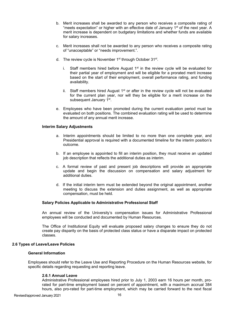- b. Merit increases shall be awarded to any person who receives a composite rating of "meets expectation" or higher with an effective date of January  $1<sup>st</sup>$  of the next year. A merit increase is dependent on budgetary limitations and whether funds are available for salary increases.
- c. Merit increases shall not be awarded to any person who receives a composite rating of "unacceptable" or "needs improvement.".
- d. The review cycle is November  $1<sup>st</sup>$  through October  $31<sup>st</sup>$ .
	- i. Staff members hired before August  $1<sup>st</sup>$  in the review cycle will be evaluated for their partial year of employment and will be eligible for a prorated merit increase based on the start of their employment, overall performance rating, and funding availability.
	- ii. Staff members hired August  $1<sup>st</sup>$  or after in the review cycle will not be evaluated for the current plan year, nor will they be eligible for a merit increase on the subsequent January 1<sup>st</sup>.
- e. Employees who have been promoted during the current evaluation period must be evaluated on both positions. The combined evaluation rating will be used to determine the amount of any annual merit increase.

#### **Interim Salary Adjustments**

- a. Interim appointments should be limited to no more than one complete year, and Presidential approval is required with a documented timeline for the interim position's outcome.
- b. If an employee is appointed to fill an interim position, they must receive an updated job description that reflects the additional duties as interim.
- c. A formal review of past and present job descriptions will provide an appropriate update and begin the discussion on compensation and salary adjustment for additional duties.
- d. If the initial interim term must be extended beyond the original appointment, another meeting to discuss the extension and duties assignment, as well as appropriate compensation, must be held.

#### **Salary Policies Applicable to Administrative Professional Staff**

An annual review of the University's compensation issues for Administrative Professional employees will be conducted and documented by Human Resources.

The Office of Institutional Equity will evaluate proposed salary changes to ensure they do not create pay disparity on the basis of protected class status or have a disparate impact on protected classes.

#### <span id="page-15-0"></span>**2.6 Types of Leave/Leave Policies**

#### **General Information**

<span id="page-15-1"></span>Employees should refer to the Leave Use and Reporting Procedure on the Human Resources website, for specific details regarding requesting and reporting leave.

#### **2.6.1 Annual Leave**

Administrative Professional employees hired prior to July 1, 2003 earn 16 hours per month, prorated for part-time employment based on percent of appointment, with a maximum accrual 384 hours, also pro-rated for part-time employment, which may be carried forward to the next fiscal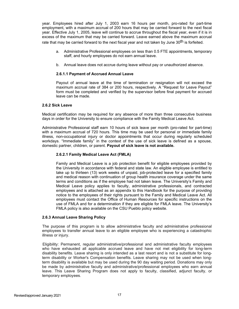year. Employees hired after July 1, 2003 earn 16 hours per month, pro-rated for part-time employment, with a maximum accrual of 200 hours that may be carried forward to the next fiscal year. Effective July 1, 2005, leave will continue to accrue throughout the fiscal year, even if it is in excess of the maximum that may be carried forward. Leave earned above the maximum accrual rate that may be carried forward to the next fiscal year and not taken by June 30<sup>th</sup> is forfeited.

- a. Administrative Professional employees on less than 0.5 FTE appointments, temporary staff, and hourly employees do not earn annual leave.
- b. Annual leave does not accrue during leave without pay or unauthorized absence.

#### **2.6.1.1 Payment of Accrued Annual Leave**

Payout of annual leave at the time of termination or resignation will not exceed the maximum accrual rate of 384 or 200 hours, respectively. A "Request for Leave Payout" form must be completed and verified by the supervisor before final payment for accrued leave can be made.

#### <span id="page-16-1"></span><span id="page-16-0"></span>**2.6.2 Sick Leave**

Medical certification may be required for any absence of more than three consecutive business days in order for the University to ensure compliance with the Family Medical Leave Act.

Administrative Professional staff earn 10 hours of sick leave per month (pro-rated for part-time) with a maximum accrual of 720 hours. This time may be used for personal or immediate family illness, non-occupational injury or doctor appointments that occur during regularly scheduled workdays. "Immediate family" in the context of the use of sick leave is defined as a spouse, domestic partner, children, or parent. **Payout of sick leave is not available.**

#### **2.6.2.1 Family Medical Leave Act (FMLA)**

Family and Medical Leave is a job protection benefit for eligible employees provided by the University in accordance with federal and state law. An eligible employee is entitled to take up to thirteen (13) work weeks of unpaid, job-protected leave for a specified family and medical reason with continuation of group health insurance coverage under the same terms and conditions as if the employee had not taken leave. The University's Family and Medical Leave policy applies to faculty, administrative professionals, and contracted employees and is attached as an appendix to this Handbook for the purpose of providing notice to the employees of their rights pursuant to the Family and Medical Leave Act. All employees must contact the Office of Human Resources for specific instructions on the use of FMLA and for a determination if they are eligible for FMLA leave. The University's FMLA policy is also available on the CSU Pueblo policy website.

#### <span id="page-16-2"></span>**2.6.3 Annual Leave Sharing Policy**

The purpose of this program is to allow administrative faculty and administrative professional employees to transfer annual leave to an eligible employee who is experiencing a catastrophic illness or injury.

Eligibility: Permanent, regular administrative/professional and administrative faculty employees who have exhausted all applicable accrued leave and have not met eligibility for long-term disability benefits. Leave sharing is only intended as a last resort and is not a substitute for longterm disability or Worker's Compensation benefits. Leave sharing may not be used when longterm disability is available but may be used during the 90 day waiting period. Donations may only be made by administrative faculty and administrative/professional employees who earn annual leave. This Leave Sharing Program does not apply to faculty, classified, adjunct faculty, or temporary employees.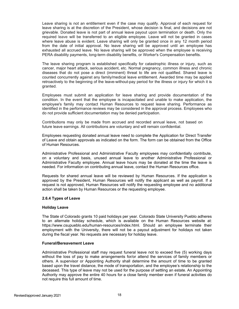Leave sharing is not an entitlement even if the case may qualify. Approval of each request for leave sharing is at the discretion of the President, whose decision is final, and decisions are not grievable. Donated leave is not part of annual leave payout upon termination or death. Only the required leave will be transferred to an eligible employee. Leave will not be granted in cases where leave abuse is evident. Leave sharing will only be granted once in any 12 month period from the date of initial approval. No leave sharing will be approved until an employee has exhausted all accrued leave. No leave sharing will be approved when the employee is receiving PERA disability payments, long-term disability benefits, or Worker's Compensation benefits.

The leave sharing program is established specifically for catastrophic illness or injury, such as cancer, major heart attack, serious accident, etc. Normal pregnancy, common illness and chronic diseases that do not pose a direct (imminent) threat to life are not qualified. Shared leave is counted concurrently against any family/medical leave entitlement. Awarded time may be applied retroactively to the beginning of the leave-without-pay period for the illness or injury for which it is granted.

Employees must submit an application for leave sharing and provide documentation of the condition. In the event that the employee is incapacitated and unable to make application, the employee's family may contact Human Resources to request leave sharing. Performance as identified in the performance reviews may be considered in the approval process. Employees who do not provide sufficient documentation may be denied participation.

Contributions may only be made from accrued and recorded annual leave, not based on future leave earnings. All contributions are voluntary and will remain confidential.

Employees requesting donated annual leave need to complete the Application for Direct Transfer of Leave and obtain approvals as indicated on the form. The form can be obtained from the Office of Human Resources.

Administrative Professional and Administrative Faculty employees may confidentially contribute, on a voluntary and basis, unused annual leave to another Administrative Professional or Administrative Faculty employee. Annual leave hours may be donated at the time the leave is needed. For information on contributing annual leave, contact the Human Resources office.

Requests for shared annual leave will be reviewed by Human Resources. If the application is approved by the President, Human Resources will notify the applicant as well as payroll. If a request is not approved, Human Resources will notify the requesting employee and no additional action shall be taken by Human Resources or the requesting employee.

#### <span id="page-17-0"></span>**2.6.4 Types of Leave**

#### **Holiday Leave**

The State of Colorado grants 10 paid holidays per year. Colorado State University Pueblo adheres to an alternate holiday schedule, which is available on the Human Resources website at: https:/[/www.csupueblo.edu/human-resources/index.html. S](http://www.csupueblo.edu/human-resources/index.html)hould an employee terminate their employment with the University, there will not be a payout adjustment for holidays not taken during the fiscal year. No requests are necessary for holiday leave.

#### **Funeral/Bereavement Leave**

Administrative Professional staff may request funeral leave not to exceed five (5) working days without the loss of pay to make arrangements for/or attend the services of family members or others. A supervisor or Appointing Authority shall determine the amount of time to be granted based upon the travel distance, the mode of transportation, and the employee's relationship to the deceased. This type of leave may not be used for the purpose of settling an estate. An Appointing Authority may approve the entire 40 hours for a close family member even if funeral activities do not require this full amount of time.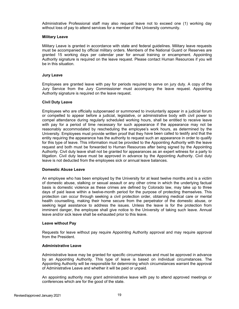Administrative Professional staff may also request leave not to exceed one (1) working day without loss of pay to attend services for a member of the University community.

#### **Military Leave**

Military Leave is granted in accordance with state and federal guidelines. Military leave requests must be accompanied by official military orders. Members of the National Guard or Reserves are granted 15 working days per calendar year for annual training or encampment. Appointing Authority signature is required on the leave request. Please contact Human Resources if you will be in this situation.

#### **Jury Leave**

Employees are granted leave with pay for periods required to serve on jury duty. A copy of the Jury Service from the Jury Commissioner must accompany the leave request. Appointing Authority signature is required on the leave request.

#### **Civil Duty Leave**

Employees who are officially subpoenaed or summoned to involuntarily appear in a judicial forum or compelled to appear before a judicial, legislative, or administrative body with civil power to compel attendance during regularly scheduled working hours, shall be entitled to receive leave with pay for a period of time necessary for such appearance if the appearance may not be reasonably accommodated by rescheduling the employee's work hours, as determined by the University. Employees must provide written proof that they have been called to testify and that the entity requiring the appearance has the authority to request such an appearance in order to qualify for this type of leave. This information must be provided to the Appointing Authority with the leave request and both must be forwarded to Human Resources after being signed by the Appointing Authority. Civil duty leave shall not be granted for appearances as an expert witness for a party to litigation. Civil duty leave must be approved in advance by the Appointing Authority. Civil duty leave is not deducted from the employees sick or annual leave balances.

#### **Domestic Abuse Leave**

An employee who has been employed by the University for at least twelve months and is a victim of domestic abuse, stalking or sexual assault or any other crime in which the underlying factual basis is domestic violence as these crimes are defined by Colorado law, may take up to three days of paid leave within a twelve-month period for the purpose of protecting themselves. This protection can occur through seeking a civil protection order, obtaining medical care or mental health counselling, making their home secure from the perpetrator of the domestic abuse, or seeking legal assistance to address the issues. Unless the leave is for the protection from imminent danger, the employee shall give notice to the University of taking such leave. Annual leave and/or sick leave shall be exhausted prior to this leave.

#### **Leave without Pay**

Requests for leave without pay require Appointing Authority approval and may require approval from the President.

#### **Administrative Leave**

Administrative leave may be granted for specific circumstances and must be approved in advance by an Appointing Authority. This type of leave is based on individual circumstances. The Appointing Authority will be responsible for determining which circumstances warrant the approval of Administrative Leave and whether it will be paid or unpaid.

An appointing authority may grant administrative leave with pay to attend approved meetings or conferences which are for the good of the state.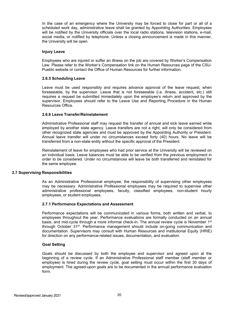In the case of an emergency where the University may be forced to close for part or all of a scheduled work day, administrative leave shall be granted by Appointing Authorities. Employees will be notified by the University officials over the local radio stations, television stations, e-mail, social media, or notified by telephone. Unless a closing announcement is made in this manner, the University will be open.

#### **Injury Leave**

Employees who are injured or suffer an illness on the job are covered by Worker's Compensation Law. Please refer to the Worker's Compensation link on the Human Resources page of the CSU-Pueblo website or contact the Office of Human Resources for further information.

#### <span id="page-19-0"></span>**2.6.5 Scheduling Leave**

Leave must be used responsibly and requires advance approval of the leave request, when foreseeable, by the supervisor. Leave that is not foreseeable (i.e. illness, accident, etc.) still requires a request be submitted immediately upon the employee's return and approved by the supervisor. Employees should refer to the Leave Use and Reporting Procedure in the Human Resources Office.

#### <span id="page-19-1"></span>**2.6.6 Leave Transfer/Reinstatement**

Administrative Professional staff may request the transfer of annual and sick leave earned while employed by another state agency. Leave transfers are not a right, will only be considered from other recognized state agencies and must be approved by the Appointing Authority or President. Annual leave transfer will under no circumstances exceed forty (40) hours. No leave will be transferred from a non-state entity without the specific approval of the President.

Reinstatement of leave for employees who had prior service at the University will be reviewed on an individual basis. Leave balances must be able to be verified from the previous employment in order to be considered. Under no circumstances will leave be both transferred and reinstated for the same employee.

#### <span id="page-19-3"></span><span id="page-19-2"></span>**2.7 Supervising Responsibilities**

As an Administrative Professional employee, the responsibility of supervising other employees may be necessary. Administrative Professional employees may be required to supervise other administrative professional employees, faculty, classified employees, non-student hourly employees, or student employees.

#### **2.7.1 Performance Expectations and Assessment**

Performance expectations will be communicated in various forms, both written and verbal, to employees throughout the year. Performance evaluations are formally conducted on an annual basis, and mid-cycle through a more informal check-in. The annual review cycle is November 1<sup>st</sup> through October  $31^{st}$ . Performance management should include on-going communication and documentation. Supervisors may consult with Human Resources and Institutional Equity (HRIE) for direction on any performance-related issues, documentation, and evaluation.

#### **Goal Setting**

Goals should be discussed by both the employee and supervisor and agreed upon at the beginning of a review cycle. If an Administrative Professional staff member (staff member or employee) is hired during the review cycle, goal setting must occur within the first 30 days of employment. The agreed-upon goals are to be documented in the annual performance evaluation form.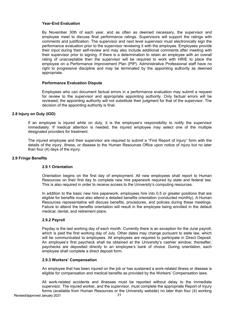#### **Year-End Evaluation**

By November 30th of each year, and as often as deemed necessary, the supervisor and employee meet to discuss final performance ratings. Supervisors will support the ratings with comments and justification. The supervisor and next level supervisor must electronically sign the performance evaluation prior to the supervisor reviewing it with the employee. Employees provide their input during their self-review and may also include additional comments after meeting with their supervisor prior to signing. If there is a determination to retain an employee with an overall rating of unacceptable then the supervisor will be required to work with HRIE to place the employee on a Performance Improvement Plan (PIP). Administrative Professional staff have no right to progressive discipline and may be terminated by the appointing authority as deemed appropriate.

#### **Performance Evaluation Dispute**

Employees who can document factual errors in a performance evaluation may submit a request for review to the supervisor and appropriate appointing authority. Only factual errors will be reviewed; the appointing authority will not substitute their judgment for that of the supervisor. The decision of the appointing authority is final.

#### <span id="page-20-0"></span>**2.8 Injury on Duty (IOD)**

If an employee is injured while on duty, it is the employee's responsibility to notify the supervisor immediately. If medical attention is needed, the injured employee may select one of the multiple designated providers for treatment.

The injured employee and their supervisor are required to submit a "First Report of Injury" form with the details of the injury, illness, or disease to the Human Resources Office upon notice of injury but no later than four (4) days of the injury.

#### <span id="page-20-2"></span><span id="page-20-1"></span>**2.9 Fringe Benefits**

#### **2.9.1 Orientation**

Orientation begins on the first day of employment. All new employees shall report to Human Resources on their first day to complete new hire paperwork required by state and federal law. This is also required in order to receive access to the University's computing resources.

In addition to the basic new hire paperwork, employees hire into 0.5 or greater positions that are eligible for benefits must also attend a detailed benefits orientation (conducted monthly). A Human Resources representative will discuss benefits, procedures, and policies during these meetings. Failure to attend the benefits orientation will result in the employee being enrolled in the default medical, dental, and retirement plans.

#### <span id="page-20-3"></span>**2.9.2 Payroll**

Payday is the last working day of each month. Currently there is an exception for the June payroll, which is paid the first working day of July. Other dates may change pursuant to state law, which will be communicated to employees. All employees are required to participate in Direct Deposit. An employee's first paycheck shall be obtained at the University's cashier window; thereafter, paychecks are deposited directly to an employee's bank of choice. During orientation, each employee shall complete a direct deposit form.

#### <span id="page-20-4"></span>**2.9.3 Workers' Compensation**

An employee that has been injured on the job or has sustained a work-related illness or disease is eligible for compensation and medical benefits as provided by the Workers' Compensation laws.

All work-related accidents and illnesses must be reported without delay to the immediate supervisor. The injured worker, and the supervisor, must complete the appropriate Report of Injury forms (available from Human Resources or the University website) no later than four (4) working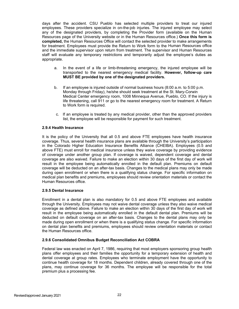days after the accident. CSU Pueblo has selected multiple providers to treat our injured employees. These providers specialize in on-the-job injuries. The injured employee may select any of the designated providers, by completing the Provider form (available on the Human Resources page of the University website or in the Human Resources office.) **Once this form is completed,** the Human Resources Office will contact the selected provider to make arrangements for treatment. Employees must provide the Return to Work form to the Human Resources office and the immediate supervisor upon return from treatment. The supervisor and Human Resources staff will evaluate any temporary restrictions and temporarily adjust the employee's duties as appropriate.

- a. In the event of a life or limb-threatening emergency, the injured employee will be transported to the nearest emergency medical facility. **However, follow-up care MUST BE provided by one of the designated providers.**
- b. If an employee is injured outside of normal business hours (8:00 a.m. to 5:00 p.m. Monday through Friday), he/she should seek treatment at the St. Mary-Corwin Medical Center emergency room, 1008 Minnequa Avenue, Pueblo, CO. If the injury is life threatening, call 911 or go to the nearest emergency room for treatment. A Return to Work form is required.
- c. If an employee is treated by any medical provider, other than the approved providers list, the employee will be responsible for payment for such treatment.

#### <span id="page-21-0"></span>**2.9.4 Health Insurance**

It is the policy of the University that all 0.5 and above FTE employees have health insurance coverage. Thus, several health insurance plans are available through the University's participation in the Colorado Higher Education Insurance Benefits Alliance (CHEIBA). Employees (0.5 and above FTE) must enroll for medical insurance unless they waive coverage by providing evidence of coverage under another group plan. If coverage is waived, dependent coverage and dental coverage are also waived. Failure to make an election within 30 days of the first day of work will result in the employee being automatically enrolled in the default plan. Premiums on default coverage will be deducted on an after-tax basis. Changes to the medical plans may only be made during open enrollment or when there is a qualifying status change. For specific information on medical plan benefits and premiums, employees should review orientation materials or contact the Human Resources office.

#### <span id="page-21-1"></span>**2.9.5 Dental Insurance**

Enrollment in a dental plan is also mandatory for 0.5 and above FTE employees and available through the University. Employees may not waive dental coverage unless they also waive medical coverage as defined above. Failure to make an election within 30 days of the first day of work will result in the employee being automatically enrolled in the default dental plan. Premiums will be deducted on default coverage on an after-tax basis. Changes to the dental plans may only be made during open enrollment or when there is a qualifying status change. For specific information on dental plan benefits and premiums, employees should review orientation materials or contact the Human Resources office.

#### <span id="page-21-2"></span>**2.9.6 Consolidated Omnibus Budget Reconciliation Act COBRA**

Federal law was enacted on April 7, 1986, requiring that most employers sponsoring group health plans offer employees and their families the opportunity for a temporary extension of health and dental coverage at group rates. Employees who terminate employment have the opportunity to continue health coverage for 18 months. Dependent children, already covered through one of the plans, may continue coverage for 36 months. The employee will be responsible for the total premium plus a processing fee.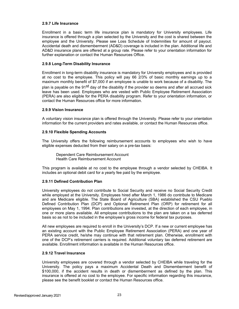#### <span id="page-22-0"></span>**2.9.7 Life Insurance**

Enrollment in a basic term life insurance plan is mandatory for University employees. Life insurance is offered through a plan selected by the University and the cost is shared between the employee and the University. Please see Loss Schedule of Indemnities for amount of payout. Accidental death and dismemberment (AD&D) coverage is included in the plan. Additional life and AD&D insurance plans are offered at a group rate. Please refer to your orientation information for further explanation or contact the Human Resources Office.

#### <span id="page-22-1"></span>**2.9.8 Long-Term Disability Insurance**

Enrollment in long-term disability insurance is mandatory for University employees and is provided at no cost to the employee. This policy will pay 66 2/3% of basic monthly earnings up to a maximum monthly benefit of \$7,000 if an employee is unable to work because of a disability. The plan is payable on the 91<sup>st</sup> day of the disability if the provider so deems and after all accrued sick leave has been used. Employees who are vested with Public Employee Retirement Association (PERA) are also eligible for the PERA disability program. Refer to your orientation information, or contact the Human Resources office for more information.

#### <span id="page-22-2"></span>**2.9.9 Vision Insurance**

A voluntary vision insurance plan is offered through the University. Please refer to your orientation information for the current providers and rates available, or contact the Human Resources office.

#### <span id="page-22-3"></span>**2.9.10 Flexible Spending Accounts**

The University offers the following reimbursement accounts to employees who wish to have eligible expenses deducted from their salary on a pre-tax basis:

Dependent Care Reimbursement Account Health Care Reimbursement Account

This program is available at no cost to the employee through a vendor selected by CHEIBA. It includes an optional debit card for a yearly fee paid by the employee.

#### <span id="page-22-4"></span>**2.9.11 Defined Contribution Plan**

University employees do not contribute to Social Security and receive no Social Security Credit while employed at the University. Employees hired after March 1, 1986 do contribute to Medicare and are Medicare eligible. The State Board of Agriculture (SBA) established the CSU Pueblo Defined Contribution Plan (DCP) and Optional Retirement Plan (ORP) for retirement for all employees on May 1, 1994. Plan contributions are invested, at the direction of each employee, in one or more plans available. All employee contributions to the plan are taken on a tax deferred basis so as not to be included in the employee's gross income for federal tax purposes.

All new employees are required to enroll in the University's DCP. If a new or current employee has an existing account with the Public Employee Retirement Association (PERA) and one year of PERA service credit, he/she may continue with that retirement plan. Otherwise, enrollment with one of the DCP's retirement carriers is required. Additional voluntary tax deferred retirement are available. Enrollment information is available in the Human Resources office.

#### <span id="page-22-5"></span>**2.9.12 Travel Insurance**

University employees are covered through a vendor selected by CHEIBA while traveling for the University. The policy pays a maximum Accidental Death and Dismemberment benefit of \$100,000, if the accident results in death or dismemberment as defined by the plan. This insurance is offered at no cost to the employee. For specific information regarding this insurance, please see the benefit booklet or contact the Human Resources office.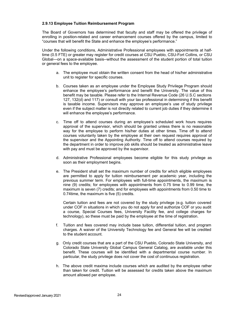#### <span id="page-23-0"></span>**2.9.13 Employee Tuition Reimbursement Program**

The Board of Governors has determined that faculty and staff may be offered the privilege of enrolling in position-related and career enhancement courses offered by the campus, limited to "courses that will benefit the State and enhance the employee's performance."

Under the following conditions, Administrative Professional employees with appointments at halftime (0.5 FTE) or greater may register for credit courses at CSU Pueblo, CSU-Fort Collins, or CSU Global—on a space-available basis--without the assessment of the student portion of total tuition or general fees to the employee.

- a. The employee must obtain the written consent from the head of his/her administrative unit to register for specific courses.
- b. Courses taken as an employee under the Employee Study Privilege Program should enhance the employee's performance and benefit the University. The value of this benefit may be taxable. Please refer to the Internal Revenue Code (26 U.S.C sections 127, 132(d) and 117) or consult with your tax professional in determining if this benefit is taxable income. Supervisors may approve an employee's use of study privilege even if the subject matter is not directly related to current job duties if they determine it will enhance the employee's performance.
- c. Time off to attend courses during an employee's scheduled work hours requires approval of the supervisor, which should be granted unless there is no reasonable way for the employee to perform his/her duties at other times. Time off to attend courses voluntarily taken by the employee at their own request requires approval of the supervisor and the Appointing Authority. Time off to attend courses required by the department in order to improve job skills should be treated as administrative leave with pay and must be approved by the supervisor.
- d. Administrative Professional employees become eligible for this study privilege as soon as their employment begins.
- e. The President shall set the maximum number of credits for which eligible employees are permitted to apply for tuition reimbursement per academic year, including the previous summer term. For employees with full-time appointments, the maximum is nine (9) credits; for employees with appointments from 0.75 time to 0.99 time, the maximum is seven (7) credits; and for employees with appointments from 0.50 time to 0.74time, the maximum is five (5) credits.

Certain tuition and fees are not covered by the study privilege (e.g. tuition covered under COF in situations in which you do not apply for and authorize COF or you audit a course, Special Courses fees, University Facility fee, and college charges for technology), so these must be paid by the employee at the time of registration.

- f. Tuition and fees covered may include base tuition, differential tuition, and program charges. A waiver of the University Technology fee and General fee will be credited to the student account.
- g. Only credit courses that are a part of the CSU Pueblo, Colorado State University, and Colorado State University Global Campus General Catalog, are available under this benefit. These courses will be identified with a departmental course number. In particular, the study privilege does not cover the cost of continuous registration.
- h. The above credit maxima include courses which are audited by the employee rather than taken for credit. Tuition will be assessed for credits taken above the maximum amount allowed per employee.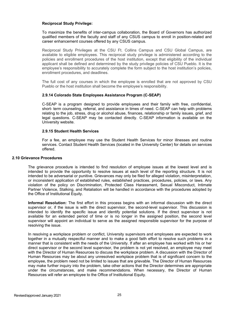#### **Reciprocal Study Privilege:**

To maximize the benefits of inter-campus collaboration, the Board of Governors has authorized qualified members of the faculty and staff of any CSUS campus to enroll in position-related and career enhancement courses offered by any CSUS campus.

Reciprocal Study Privileges at the CSU Ft. Collins Campus and CSU Global Campus, are available to eligible employees. This reciprocal study privilege is administered according to the policies and enrollment procedures of the host institution, except that eligibility of the individual applicant shall be defined and determined by the study privilege policies of CSU Pueblo. It is the employee's responsibility to accurately complete the form subject to the host institution's policies, enrollment procedures, and deadlines.

The full cost of any courses in which the employee is enrolled that are not approved by CSU Pueblo or the host institution shall become the employee's responsibility.

#### <span id="page-24-0"></span>**2.9.14 Colorado State Employees Assistance Program (C-SEAP)**

C-SEAP is a program designed to provide employees and their family with free, confidential, short- term counseling, referral, and assistance in times of need. C-SEAP can help with problems relating to the job, stress, drug or alcohol abuse, finances, relationship or family issues, grief, and legal questions. C-SEAP may be contacted directly. C-SEAP information is available on the University website.

#### **2.9.15 Student Health Services**

For a fee, an employee may use the Student Health Services for minor illnesses and routine services. Contact Student Health Services (located in the University Center) for details on services offered.

#### <span id="page-24-2"></span><span id="page-24-1"></span>**2.10 Grievance Procedures**

The grievance procedure is intended to find resolution of employee issues at the lowest level and is intended to provide the opportunity to resolve issues at each level of the reporting structure. It is not intended to be adversarial or punitive. Grievances may only be filed for alleged violation, misinterpretation, or inconsistent application of established rules, established practices, procedures, policies, or laws. Any violation of the policy on Discrimination, Protected Class Harassment, Sexual Misconduct, Intimate Partner Violence, Stalking, and Retaliation will be handled in accordance with the procedures adopted by the Office of Institutional Equity.

**Informal Resolution:** The first effort in this process begins with an informal discussion with the direct supervisor or, if the issue is with the direct supervisor, the second-level supervisor. This discussion is intended to identify the specific issue and identify potential solutions. If the direct supervisor is not available for an extended period of time or is no longer in the assigned position, the second level supervisor will appoint an individual to serve as the assigned responsible supervisor for the purpose of resolving the issue.

In resolving a workplace problem or conflict, University supervisors and employees are expected to work together in a mutually respectful manner and to make a good faith effort to resolve such problems in a manner that is consistent with the needs of the University. If after an employee has worked with his or her direct supervisor or the second level supervisor, the problem is not yet resolved, an employee may meet with the Director of Human Resources to discuss the workplace problem. A discussion with the Director of Human Resources may be about any unresolved workplace problem that is of significant concern to the employee, the problem need not be limited to issues that are grievable. The Director of Human Resources may make further inquiry into the problem, take other actions that the Director determines are appropriate under the circumstances, and make recommendations. When necessary, the Director of Human Resources will refer an employee to the Office of Institutional Equity.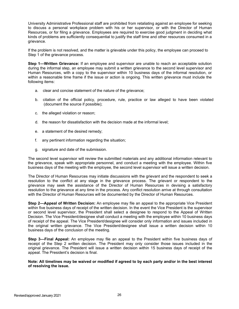University Administrative Professional staff are prohibited from retaliating against an employee for seeking to discuss a personal workplace problem with his or her supervisor, or with the Director of Human Resources, or for filing a grievance. Employees are required to exercise good judgment in deciding what kinds of problems are sufficiently consequential to justify the staff time and other resources consumed in a grievance.

If the problem is not resolved, and the matter is grievable under this policy, the employee can proceed to Step 1 of the grievance process.

**Step 1—Written Grievance:** If an employee and supervisor are unable to reach an acceptable solution during the informal step, an employee may submit a written grievance to the second level supervisor and Human Resources, with a copy to the supervisor within 10 business days of the informal resolution, or within a reasonable time frame if the issue or action is ongoing. This written grievance must include the following items:

- a. clear and concise statement of the nature of the grievance;
- b. citation of the official policy, procedure, rule, practice or law alleged to have been violated (document the source if possible);
- c. the alleged violation or reason;
- d. the reason for dissatisfaction with the decision made at the informal level;
- e. a statement of the desired remedy;
- f. any pertinent information regarding the situation;
- g. signature and date of the submission.

The second level supervisor will review the submitted materials and any additional information relevant to the grievance, speak with appropriate personnel, and conduct a meeting with the employee. Within five business days of the meeting with the employee, the second level supervisor will issue a written decision.

The Director of Human Resources may initiate discussions with the grievant and the respondent to seek a resolution to the conflict at any stage in the grievance process. The grievant or respondent to the grievance may seek the assistance of the Director of Human Resources in devising a satisfactory resolution to the grievance at any time in the process. Any conflict resolution arrive at through consultation with the Director of Human Resources will be documented by the Director of Human Resources.

**Step 2—Appeal of Written Decision:** An employee may file an appeal to the appropriate Vice President within five business days of receipt of the written decision. In the event the Vice President is the supervisor or second level supervisor, the President shall select a designee to respond to the Appeal of Written Decision. The Vice President/designee shall conduct a meeting with the employee within 10 business days of receipt of the appeal. The Vice President/designee will consider only information and issues included in the original written grievance. The Vice President/designee shall issue a written decision within 10 business days of the conclusion of the meeting.

**Step 3—Final Appeal:** An employee may file an appeal to the President within five business days of receipt of the Step 2 written decision. The President may only consider those issues included in the original grievance. The President will issue a written decision within 15 business days of receipt of the appeal. The President's decision is final.

**Note: All timelines may be waived or modified if agreed to by each party and/or in the best interest of resolving the issue.**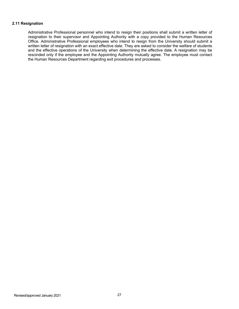#### <span id="page-26-0"></span>**2.11 Resignation**

Administrative Professional personnel who intend to resign their positions shall submit a written letter of resignation to their supervisor and Appointing Authority with a copy provided to the Human Resources Office. Administrative Professional employees who intend to resign from the University should submit a written letter of resignation with an exact effective date. They are asked to consider the welfare of students and the effective operations of the University when determining the effective date. A resignation may be rescinded only if the employee and the Appointing Authority mutually agree. The employee must contact the Human Resources Department regarding exit procedures and processes.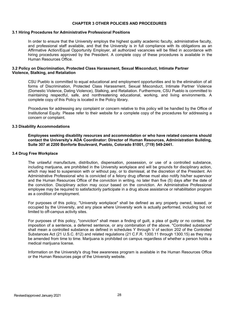#### **CHAPTER 3 OTHER POLICIES AND PROCEDURES**

#### <span id="page-27-0"></span>**3.1 Hiring Procedures for Administrative Professional Positions**

In order to ensure that the University employs the highest quality academic faculty, administrative faculty, and professional staff available, and that the University is in full compliance with its obligations as an Affirmative Action/Equal Opportunity Employer, all authorized vacancies will be filled in accordance with hiring procedures approved by the President. A complete copy of these procedures is available in the Human Resources Office.

#### <span id="page-27-1"></span>**3.2 Policy on Discrimination, Protected Class Harassment, Sexual Misconduct, Intimate Partner Violence, Stalking, and Retaliation**

CSU Pueblo is committed to equal educational and employment opportunities and to the elimination of all forms of Discrimination, Protected Class Harassment, Sexual Misconduct, Intimate Partner Violence (Domestic Violence, Dating Violence), Stalking, and Retaliation. Furthermore, CSU Pueblo is committed to maintaining respectful, safe, and nonthreatening educational, working, and living environments. A complete copy of this Policy is located in the Policy library.

Procedures for addressing any complaint or concern relative to this policy will be handled by the Office of Institutional Equity. Please refer to their website for a complete copy of the procedures for addressing a concern or complaint.

#### <span id="page-27-2"></span>**3.3 Disability Accommodations**

**Employees seeking disability resources and accommodation or who have related concerns should contact the University's ADA Coordinator: Director of Human Resources, Administration Building, Suite 307 at 2200 Bonforte Boulevard, Pueblo, Colorado 81001, (719) 549-2441.**

#### <span id="page-27-3"></span>**3.4 Drug Free Workplace**

The unlawful manufacture, distribution, dispensation, possession, or use of a controlled substance, including marijuana, are prohibited in the University workplace and will be grounds for disciplinary action, which may lead to suspension with or without pay, or to dismissal, at the discretion of the President. An Administrative Professional who is convicted of a felony drug offense must also notify his/her supervisor and the Human Resources Office of the conviction in writing, no later than five (5) days after the date of the conviction. Disciplinary action may occur based on the conviction. An Administrative Professional employee may be required to satisfactorily participate in a drug abuse assistance or rehabilitation program as a condition of employment.

For purposes of this policy, "University workplace" shall be defined as any property owned, leased, or occupied by the University, and any place where University work is actually performed, including but not limited to off-campus activity sites.

For purposes of this policy, "conviction" shall mean a finding of guilt, a plea of guilty or no contest, the imposition of a sentence, a deferred sentence, or any combination of the above. "Controlled substance" shall mean a controlled substance as defined in schedules Y through V of section 202 of the Controlled Substances Act (21 U.S.C. 812) and related regulations (21 C.F.R. 1300.11 through 1300.15) as they may be amended from time to time. Marijuana is prohibited on campus regardless of whether a person holds a medical marijuana license.

Information on the University's drug free awareness program is available in the Human Resources Office or the Human Resources page of the University website.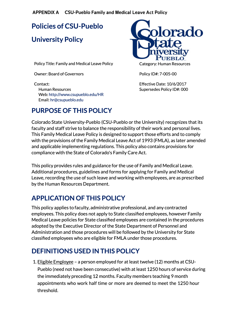**APPENDIX A CSU-Pueblo Family and Medical Leave Act Policy**

**Policies of CSU-Pueblo** 

## **University Policy**

Policy Title: Family and Medical Leave Policy

Owner: Board of Governors

Contact: Human Resources Web: http://www.csupueblo.edu/HR Email: hr@csupueblo.edu



Category: Human Resources

Policy ID#: 7-005-00

Effective Date: 10/6/2017 Supersedes Policy ID#: 000

## **PURPOSE OF THIS POLICY**

Colorado State University-Pueblo (CSU-Pueblo orthe University) recognizes that its faculty and staff strive to balance the responsibility of their work and personal lives. This Family Medical Leave Policy is designed to support those efforts and to comply with the provisions of the Family Medical Leave Act of 1993 (FMLA), as later amended and applicable implementing regulations. This policy also contains provisions for compliance with the State of Colorado's Family Care Act.

This policy provides rules and guidance for the use of Family and Medical Leave. Additional procedures, guidelines and forms for applying for Family and Medical Leave, recording the use of such leave and working with employees, are as prescribed by the Human Resources Department.

## **APPLICATION OF THIS POLICY**

This policy applies to faculty, administrative professional, and any contracted employees. This policy does not apply to State classified employees, however Family Medical Leave policies for State classified employees are contained in the procedures adopted by the Executive Director of the State Department of Personnel and Administration and those procedures will be followed by the University for State classified employees who are eligible for FMLA under those procedures.

## **DEFINITIONS USED IN THIS POLICY**

1. Eligible Employee - a person employed for at least twelve (12) months at CSU-Pueblo (need not have been consecutive) with at least 1250 hours of service during the immediately preceding 12 months. Faculty members teaching 9 month appointments who work half time or more are deemed to meet the 1250 hour threshold.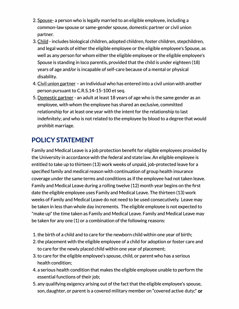- 2. Spouse- a person who is legally married to an eligible employee, including a common-law spouse or same-gender spouse, domestic partner or civil union partner.
- 3. Child includes biological children, adopted children, foster children, stepchildren, and legal wards of either the eligible employee or the eligible employee's Spouse, as well as any person for whom either the eligible employee or the eligible employee's Spouse is standing in loco parentis, provided that the child is under eighteen (18) years of age and/or is incapable of self-care because of a mental or physical disability.
- 4. Civil union partner an individual who has entered into a civil union with another person pursuant to C.R.S.14-15-100 et seq.
- 5. Domestic partner an adult at least 18 years of age who is the same gender as an employee, with whom the employee has shared an exclusive, committed relationship for at least one year with the intent for the relationship to last indefinitely; and who is not related to the employee by blood to a degree that would prohibit marriage.

## **POLICY STATEMENT**

Family and Medical Leave is a job protection benefit for eligible employees provided by the University in accordance with the federal and state law. An eligible employee is entitled to take up to thirteen (13) work weeks of unpaid, job-protected leave for a specified family and medical reason with continuation of group health insurance coverage under the same terms and conditions as if the employee had not taken leave. Family and Medical Leave during a rolling twelve (12) month year begins on the first date the eligible employee uses Family and Medical Leave. The thirteen (13) work weeks of Family and Medical Leave do not need to be used consecutively. Leave may be taken in less than whole day increments. The eligible employee is not expected to "make up" the time taken as Family and Medical Leave. Family and Medical Leave may be taken for any one (1) or a combination of the following reasons:

- 1. the birth of a child and to care for the newborn child within one year of birth;
- 2. the placement with the eligible employee of a child for adoption or foster care and to care for the newly placed child within one year of placement;
- 3. to care for the eligible employee's spouse, child, or parent who has a serious health condition;
- 4. a serious health condition that makes the eligible employee unable to perform the essential functions of their job;
- 5. any qualifying exigency arising out of the fact that the eligible employee's spouse, son, daughter, or parent is a covered military member on "covered active duty;" or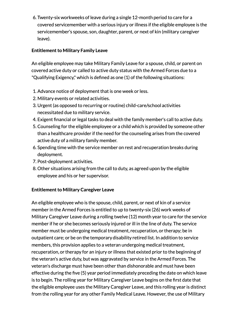6. Twenty-six workweeks of leave during a single 12-month period to care for a covered servicemember with a serious injury or illness if the eligible employee is the servicemember's spouse, son, daughter, parent, or next of kin (military caregiver leave).

### **Entitlement to Military Family Leave**

An eligible employee may take Military Family Leave for a spouse, child, or parent on covered active duty or called to active duty status with the Armed Forces due to a "Qualifying Exigency," which is defined as one (1) of the following situations:

- 1. Advance notice of deployment that is one week or less.
- 2. Military events or related activities.
- 3. Urgent (as opposed to recurring or routine) child-care/school activities necessitated due to military service.
- 4. Exigent financial or legal tasks to deal with the family member's call to active duty.
- 5. Counseling for the eligible employee or a child which is provided by someone other than a healthcare provider if the need for the counseling arises from the covered active duty of a military family member.
- 6. Spending time with the service member on rest and recuperation breaks during deployment.
- 7. Post-deployment activities.
- 8. Other situations arising from the call to duty, as agreed upon by the eligible employee and his or her supervisor.

### **Entitlement to Military Caregiver Leave**

An eligible employee who is the spouse, child, parent, or next of kin of a service member in the Armed Forces is entitled to up to twenty-six (26) work weeks of Military Caregiver Leave during a rolling twelve (12) month year to care for the service member if he or she becomes seriously injured or ill in the line of duty. The service member must be undergoing medical treatment, recuperation, or therapy; be in outpatient care; or be on the temporary disability retired list. In addition to service members, this provision applies to a veteran undergoing medical treatment, recuperation, or therapy for an injury or illness that existed prior to the beginning of the veteran's active duty, but was aggravated by service in the Armed Forces. The veteran's discharge must have been other than dishonorable and must have been effective during the five (S) year period immediately preceding the date on which leave is to begin. The rolling year for Military Caregiver Leave begins on the first date that the eligible employee uses the Military Caregiver Leave, and this rolling year is distinct from the rolling year for any other Family Medical Leave. However, the use of Military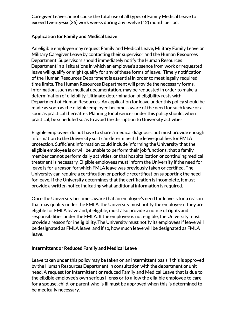Caregiver Leave cannot cause the total use of all types of Family Medical Leave to exceed twenty-six (26) work weeks during any twelve (12) month period.

### **Application for Family and Medical Leave**

An eligible employee may request Family and Medical Leave, Military Family Leave or Military Caregiver Leave by contacting their supervisor and the Human Resources Department. Supervisors should immediately notify the Human Resources Department in all situations in which an employee's absence from work or requested leave will qualify or might qualify for any of these forms of leave. Timely notification of the Human Resources Department is essential in order to meet legally required time limits. The Human Resources Department will provide the necessary forms. Information, such as medical documentation, may be requested in order to make a determination of eligibility. Ultimate determination of eligibility rests with Department of Human Resources. An application for leave under this policy should be made as soon as the eligible employee becomes aware of the need for such leave or as soon as practical thereafter. Planning for absences under this policy should, when practical, be scheduled so as to avoid the disruption to University activities.

Eligible employees do not have to share a medical diagnosis, but must provide enough information to the University so it can determine if the leave qualifies for FMLA protection. Sufficient information could include informing the University that the eligible employee is or will be unable to perform their job functions, that a family member cannot perform daily activities, or that hospitalization or continuing medical treatment is necessary. Eligible employees must inform the University if the need for leave is for a reason for which FM LA leave was previously taken or certified. The University can require a certification or periodic recertification supporting the need for leave. If the University determines that the certification is incomplete, it must provide a written notice indicating what additional information is required.

Once the University becomes aware that an employee's need for leave is for a reason that may qualify under the FMLA, the University must notify the employee if they are eligible for FMLA leave and, if eligible, must also provide a notice of rights and responsibilities under the FMLA. If the employee is not eligible, the University must provide a reason for ineligibility. The University must notify its employees if leave will be designated as FMLA leave, and if so, how much leave will be designated as FMLA leave.

### **Intermittent or Reduced Family and Medical Leave**

Leave taken under this policy may be taken on an intermittent basis if this is approved by the Human Resources Department in consultation with the department or unit head. A request for intermittent or reduced Family and Medical Leave that is due to the eligible employee's own serious illenss or to allow the eligible employee to care for a spouse, child, or parent who is ill must be approved when this is determined to be medically necessary.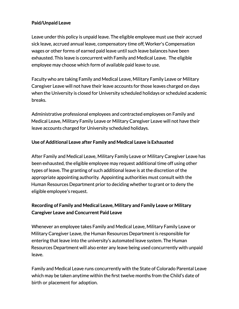### **Paid/Unpaid Leave**

Leave under this policy is unpaid leave. The eligible employee must use their accrued sick leave, accrued annual leave, compensatory time off, Worker's Compensation wages or other forms of earned paid leave until such leave balances have been exhausted. This leave is concurrent with Family and Medical Leave. The eligible employee may choose which form of available paid leave to use.

Faculty who are taking Family and Medical Leave, Military Family Leave or Military Caregiver Leave will not have their leave accounts for those leaves charged on days when the University is closed for University scheduled holidays or scheduled academic breaks.

Administrative professional employees and contracted employees on Family and Medical Leave, Military Family Leave or Military Caregiver Leave will not have their leave accounts charged for University scheduled holidays.

### **Use ofAdditional Leave after Family and Medical Leave is Exhausted**

After Family and Medical Leave, Military Family Leave or Military Caregiver Leave has been exhausted, the eligible employee may request additional time off using other types of leave. The granting of such additional leave is at the discretion of the appropriate appointing authority. Appointing authorities must consult with the Human Resources Department prior to deciding whether to grant or to deny the eligible employee's request.

## **Recording of Family and Medical Leave, Military and Family Leave or Military Caregiver Leave and Concurrent Paid Leave**

Whenever an employee takes Family and Medical Leave, Military Family Leave or Military Caregiver Leave, the Human Resources Department is responsible for entering that leave into the university's automated leave system. The Human Resources Department will also enter any leave being used concurrently with unpaid leave.

Family and Medical Leave runs concurrently with the State of Colorado Parental Leave which may be taken anytime within the first twelve months from the Child's date of birth or placement for adoption.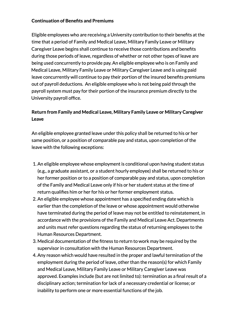### **Continuation of Benefits and Premiums**

Eligible employees who are receiving a University contribution to their benefits at the time that a period of Family and Medical Leave, Military Family Leave or Military Caregiver Leave begins shall continue to receive those contributions and benefits during those periods of leave, regardless of whether or not other types of leave are being used concurrently to provide pay. An eligible employee who is on Family and Medical Leave, Military Family Leave or Military Caregiver Leave and is using paid leave concurrently will continue to pay their portion of the insured benefits premiums out of payroll deductions. An eligible employee who is not being paid through the payroll system must pay for their portion of the insurance premium directly to the University payroll office.

## **Return from Family and Medical Leave, Military Family Leave or Military Caregiver Leave**

An eligible employee granted leave under this policy shall be returned to his or her same position, or a position of comparable pay and status, upon completion of the leave with the following exceptions:

- 1. An eligible employee whose employment is conditional upon having student status (e.g., a graduate assistant, or a student hourly employee) shall be returned to his or her former position or to a position of comparable pay and status, upon completion of the Family and Medical Leave only if his or her student status at the time of return qualifies him or her for his or her former employment status.
- 2. An eligible employee whose appointment has a specified ending date which is earlier than the completion of the leave or whose appointment would otherwise have terminated during the period of leave may not be entitled to reinstatement, in accordance with the provisions of the Family and Medical Leave Act. Departments and units must refer questions regarding the status of returning employees to the Human Resources Department.
- 3. Medical documentation of the fitness to return to work may be required by the supervisor in consultation with the Human Resources Department.
- 4. Any reason which would have resulted in the proper and lawful termination of the employment during the period of leave, other than the reason(s) for which Family and Medical Leave, Military Family Leave or Military Caregiver Leave was approved. Examples include (but are not limited to): termination as a final result of a disciplinary action; termination for lack of a necessary credential or license; or inability to perform one or more essential functions of the job.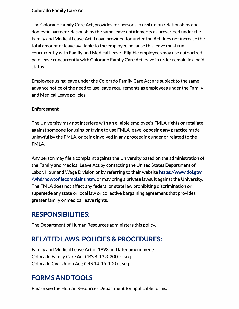### **Colorado Family Care Act**

The Colorado Family Care Act, provides for persons in civil union relationships and domestic partner relationships the same leave entitlements as prescribed under the Family and Medical Leave Act. Leave provided for under the Act does not increase the total amount of leave available to the employee because this leave must run concurrently with Family and Medical Leave. Eligible employees may use authorized paid leave concurrently with Colorado Family Care Act leave in order remain in a paid status.

Employees using leave under the Colorado Family Care Act are subject to the same advance notice of the need to use leave requirements as employees under the Family and Medical Leave policies.

### **Enforcement**

The University may not interfere with an eligible employee's FMLA rights or retaliate against someone for using or trying to use FMLA leave, opposing any practice made unlawful by the FMLA, or being involved in any proceeding under or related to the FMLA.

Any person may file a complaint against the University based on the administration of the Family and Medical Leave Act by contacting the United States Department of Labor, Hour and Wage Division or by referring to their website **https://www.dol.gov /whd/howtofilecomplaint.htm,** or may bring a private lawsuit against the University. The FMLA does not affect any federal or state law prohibiting discrimination or supersede any state or local law or collective bargaining agreement that provides greater family or medical leave rights.

## **RESPONSIBILITIES:**

The Department of Human Resources administers this policy.

## **RELATED LAWS, POLICIES & PROCEDURES:**

Family and Medical Leave Act of 1993 and later amendments Colorado Family Care Act CRS 8-13.3-200 et seq. Colorado Civil Union Act; CRS 14-15-100 et seq.

## **FORMS AND TOOLS**

Please see the Human Resources Department for applicable forms.